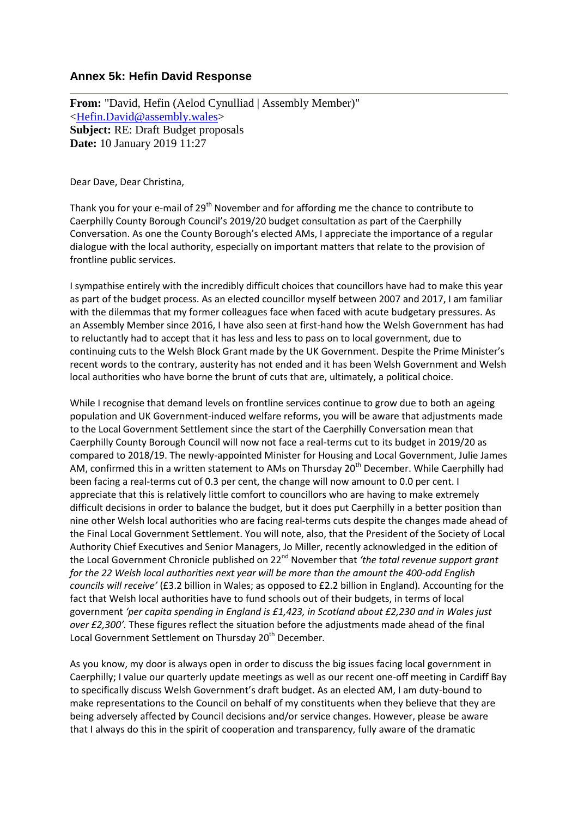## **Annex 5k: Hefin David Response**

**From:** "David, Hefin (Aelod Cynulliad | Assembly Member)" [<Hefin.David@assembly.wales>](mailto:Hefin.David@assembly.wales) **Subject:** RE: Draft Budget proposals **Date:** 10 January 2019 11:27

Dear Dave, Dear Christina,

Thank you for your e-mail of 29<sup>th</sup> November and for affording me the chance to contribute to Caerphilly County Borough Council's 2019/20 budget consultation as part of the Caerphilly Conversation. As one the County Borough's elected AMs, I appreciate the importance of a regular dialogue with the local authority, especially on important matters that relate to the provision of frontline public services.

I sympathise entirely with the incredibly difficult choices that councillors have had to make this year as part of the budget process. As an elected councillor myself between 2007 and 2017, I am familiar with the dilemmas that my former colleagues face when faced with acute budgetary pressures. As an Assembly Member since 2016, I have also seen at first-hand how the Welsh Government has had to reluctantly had to accept that it has less and less to pass on to local government, due to continuing cuts to the Welsh Block Grant made by the UK Government. Despite the Prime Minister's recent words to the contrary, austerity has not ended and it has been Welsh Government and Welsh local authorities who have borne the brunt of cuts that are, ultimately, a political choice.

While I recognise that demand levels on frontline services continue to grow due to both an ageing population and UK Government-induced welfare reforms, you will be aware that adjustments made to the Local Government Settlement since the start of the Caerphilly Conversation mean that Caerphilly County Borough Council will now not face a real-terms cut to its budget in 2019/20 as compared to 2018/19. The newly-appointed Minister for Housing and Local Government, Julie James AM, confirmed this in a written statement to AMs on Thursday 20<sup>th</sup> December. While Caerphilly had been facing a real-terms cut of 0.3 per cent, the change will now amount to 0.0 per cent. I appreciate that this is relatively little comfort to councillors who are having to make extremely difficult decisions in order to balance the budget, but it does put Caerphilly in a better position than nine other Welsh local authorities who are facing real-terms cuts despite the changes made ahead of the Final Local Government Settlement. You will note, also, that the President of the Society of Local Authority Chief Executives and Senior Managers, Jo Miller, recently acknowledged in the edition of the Local Government Chronicle published on 22<sup>nd</sup> November that 'the total revenue support grant *for the 22 Welsh local authorities next year will be more than the amount the 400-odd English councils will receive'* (£3.2 billion in Wales; as opposed to £2.2 billion in England)*.* Accounting for the fact that Welsh local authorities have to fund schools out of their budgets, in terms of local government *'per capita spending in England is £1,423, in Scotland about £2,230 and in Wales just over £2,300'.* These figures reflect the situation before the adjustments made ahead of the final Local Government Settlement on Thursday 20<sup>th</sup> December.

As you know, my door is always open in order to discuss the big issues facing local government in Caerphilly; I value our quarterly update meetings as well as our recent one-off meeting in Cardiff Bay to specifically discuss Welsh Government's draft budget. As an elected AM, I am duty-bound to make representations to the Council on behalf of my constituents when they believe that they are being adversely affected by Council decisions and/or service changes. However, please be aware that I always do this in the spirit of cooperation and transparency, fully aware of the dramatic